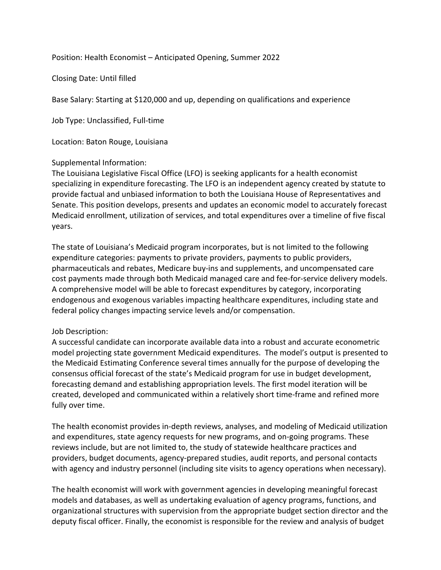Position: Health Economist – Anticipated Opening, Summer 2022

Closing Date: Until filled

Base Salary: Starting at \$120,000 and up, depending on qualifications and experience

Job Type: Unclassified, Full-time

Location: Baton Rouge, Louisiana

## Supplemental Information:

The Louisiana Legislative Fiscal Office (LFO) is seeking applicants for a health economist specializing in expenditure forecasting. The LFO is an independent agency created by statute to provide factual and unbiased information to both the Louisiana House of Representatives and Senate. This position develops, presents and updates an economic model to accurately forecast Medicaid enrollment, utilization of services, and total expenditures over a timeline of five fiscal years.

The state of Louisiana's Medicaid program incorporates, but is not limited to the following expenditure categories: payments to private providers, payments to public providers, pharmaceuticals and rebates, Medicare buy-ins and supplements, and uncompensated care cost payments made through both Medicaid managed care and fee-for-service delivery models. A comprehensive model will be able to forecast expenditures by category, incorporating endogenous and exogenous variables impacting healthcare expenditures, including state and federal policy changes impacting service levels and/or compensation.

## Job Description:

A successful candidate can incorporate available data into a robust and accurate econometric model projecting state government Medicaid expenditures. The model's output is presented to the Medicaid Estimating Conference several times annually for the purpose of developing the consensus official forecast of the state's Medicaid program for use in budget development, forecasting demand and establishing appropriation levels. The first model iteration will be created, developed and communicated within a relatively short time-frame and refined more fully over time.

The health economist provides in-depth reviews, analyses, and modeling of Medicaid utilization and expenditures, state agency requests for new programs, and on-going programs. These reviews include, but are not limited to, the study of statewide healthcare practices and providers, budget documents, agency-prepared studies, audit reports, and personal contacts with agency and industry personnel (including site visits to agency operations when necessary).

The health economist will work with government agencies in developing meaningful forecast models and databases, as well as undertaking evaluation of agency programs, functions, and organizational structures with supervision from the appropriate budget section director and the deputy fiscal officer. Finally, the economist is responsible for the review and analysis of budget